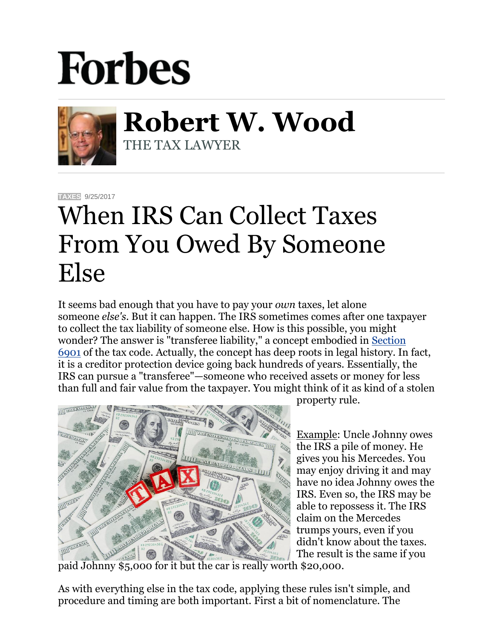## **Forbes**



**Robert W. Wood** THE TAX LAWYER

**[TAXES](https://www.forbes.com/taxes)** 9/25/2017

## When IRS Can Collect Taxes From You Owed By Someone Else

It seems bad enough that you have to pay your *own* taxes, let alone someone *else's*. But it can happen. The IRS sometimes comes after one taxpayer to collect the tax liability of someone else. How is this possible, you might wonder? The answer is "transferee liability," a concept embodied in Section [6901](http://www.taxalmanac.org/index.php/Internal_Revenue_Code:Sec._6901._Transferred_assets) of the tax code. Actually, the concept has deep roots in legal history. In fact, it is a creditor protection device going back hundreds of years. Essentially, the IRS can pursue a "transferee"—someone who received assets or money for less than full and fair value from the taxpayer. You might think of it as kind of a stolen



property rule.

Example: Uncle Johnny owes the IRS a pile of money. He gives you his Mercedes. You may enjoy driving it and may have no idea Johnny owes the IRS. Even so, the IRS may be able to repossess it. The IRS claim on the Mercedes trumps yours, even if you didn't know about the taxes. The result is the same if you

paid Johnny \$5,000 for it but the car is really worth \$20,000.

As with everything else in the tax code, applying these rules isn't simple, and procedure and timing are both important. First a bit of nomenclature. The